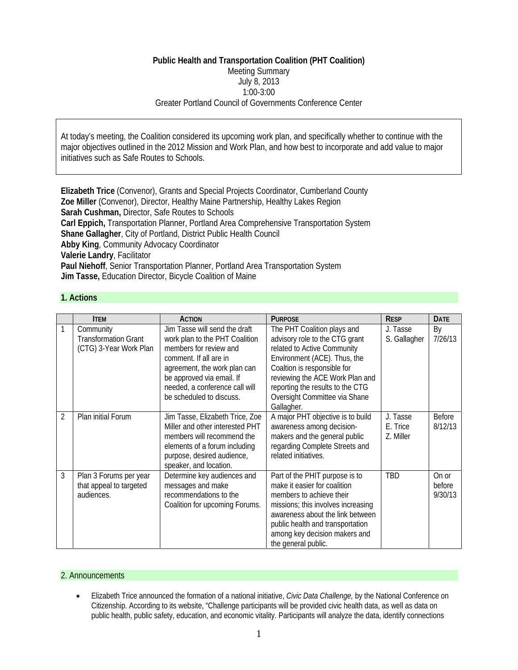# **Public Health and Transportation Coalition (PHT Coalition)**  Meeting Summary July 8, 2013 1:00-3:00 Greater Portland Council of Governments Conference Center

At today's meeting, the Coalition considered its upcoming work plan, and specifically whether to continue with the major objectives outlined in the 2012 Mission and Work Plan, and how best to incorporate and add value to major initiatives such as Safe Routes to Schools.

**Elizabeth Trice** (Convenor), Grants and Special Projects Coordinator, Cumberland County **Zoe Miller** (Convenor), Director, Healthy Maine Partnership, Healthy Lakes Region **Sarah Cushman,** Director, Safe Routes to Schools **Carl Eppich,** Transportation Planner, Portland Area Comprehensive Transportation System **Shane Gallagher**, City of Portland, District Public Health Council **Abby King**, Community Advocacy Coordinator **Valerie Landry**, Facilitator **Paul Niehoff**, Senior Transportation Planner, Portland Area Transportation System **Jim Tasse,** Education Director, Bicycle Coalition of Maine

### **1. Actions**

|                | <b>ITEM</b>                                                        | <b>ACTION</b>                                                                                                                                                                                                                                  | <b>PURPOSE</b>                                                                                                                                                                                                                                                                    | <b>RESP</b>                       | <b>DATE</b>                |
|----------------|--------------------------------------------------------------------|------------------------------------------------------------------------------------------------------------------------------------------------------------------------------------------------------------------------------------------------|-----------------------------------------------------------------------------------------------------------------------------------------------------------------------------------------------------------------------------------------------------------------------------------|-----------------------------------|----------------------------|
|                | Community<br><b>Transformation Grant</b><br>(CTG) 3-Year Work Plan | Jim Tasse will send the draft<br>work plan to the PHT Coalition<br>members for review and<br>comment. If all are in<br>agreement, the work plan can<br>be approved via email. If<br>needed, a conference call will<br>be scheduled to discuss. | The PHT Coalition plays and<br>advisory role to the CTG grant<br>related to Active Community<br>Environment (ACE). Thus, the<br>Coaltion is responsible for<br>reviewing the ACE Work Plan and<br>reporting the results to the CTG<br>Oversight Committee via Shane<br>Gallagher. | J. Tasse<br>S. Gallagher          | By<br>7/26/13              |
| $\overline{2}$ | Plan initial Forum                                                 | Jim Tasse, Elizabeth Trice, Zoe<br>Miller and other interested PHT<br>members will recommend the<br>elements of a forum including<br>purpose, desired audience,<br>speaker, and location.                                                      | A major PHT objective is to build<br>awareness among decision-<br>makers and the general public<br>regarding Complete Streets and<br>related initiatives.                                                                                                                         | J. Tasse<br>E. Trice<br>Z. Miller | <b>Before</b><br>8/12/13   |
| 3              | Plan 3 Forums per year<br>that appeal to targeted<br>audiences.    | Determine key audiences and<br>messages and make<br>recommendations to the<br>Coalition for upcoming Forums.                                                                                                                                   | Part of the PHIT purpose is to<br>make it easier for coalition<br>members to achieve their<br>missions; this involves increasing<br>awareness about the link between<br>public health and transportation<br>among key decision makers and<br>the general public.                  | <b>TBD</b>                        | On or<br>before<br>9/30/13 |

## 2. Announcements

• Elizabeth Trice announced the formation of a national initiative, *Civic Data Challenge,* by the National Conference on Citizenship. According to its website, "Challenge participants will be provided civic health data, as well as data on public health, public safety, education, and economic vitality. Participants will analyze the data, identify connections